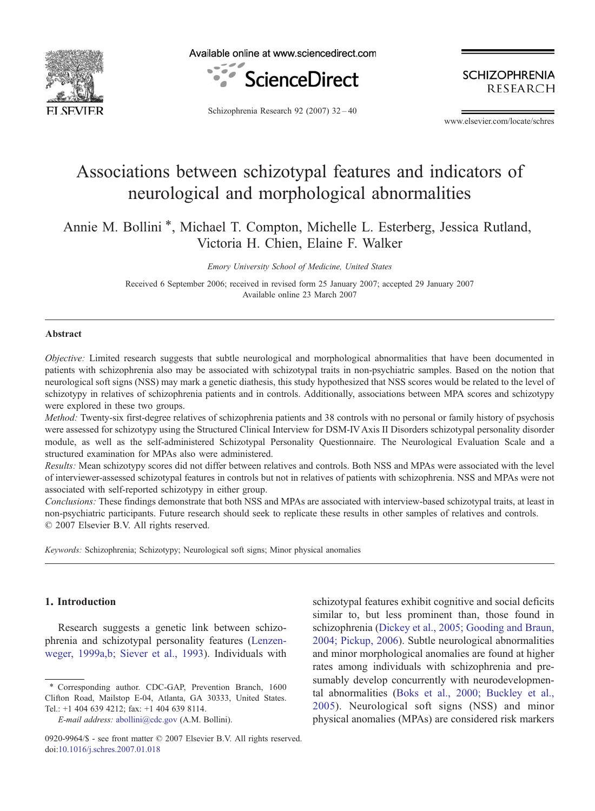

Available online at www.sciencedirect.com



**SCHIZOPHRENIA RESEARCH** 

Schizophrenia Research 92 (2007) 32–40

www.elsevier.com/locate/schres

# Associations between schizotypal features and indicators of neurological and morphological abnormalities

Annie M. Bollini ⁎, Michael T. Compton, Michelle L. Esterberg, Jessica Rutland, Victoria H. Chien, Elaine F. Walker

Emory University School of Medicine, United States

Received 6 September 2006; received in revised form 25 January 2007; accepted 29 January 2007 Available online 23 March 2007

#### Abstract

Objective: Limited research suggests that subtle neurological and morphological abnormalities that have been documented in patients with schizophrenia also may be associated with schizotypal traits in non-psychiatric samples. Based on the notion that neurological soft signs (NSS) may mark a genetic diathesis, this study hypothesized that NSS scores would be related to the level of schizotypy in relatives of schizophrenia patients and in controls. Additionally, associations between MPA scores and schizotypy were explored in these two groups.

Method: Twenty-six first-degree relatives of schizophrenia patients and 38 controls with no personal or family history of psychosis were assessed for schizotypy using the Structured Clinical Interview for DSM-IVAxis II Disorders schizotypal personality disorder module, as well as the self-administered Schizotypal Personality Questionnaire. The Neurological Evaluation Scale and a structured examination for MPAs also were administered.

Results: Mean schizotypy scores did not differ between relatives and controls. Both NSS and MPAs were associated with the level of interviewer-assessed schizotypal features in controls but not in relatives of patients with schizophrenia. NSS and MPAs were not associated with self-reported schizotypy in either group.

Conclusions: These findings demonstrate that both NSS and MPAs are associated with interview-based schizotypal traits, at least in non-psychiatric participants. Future research should seek to replicate these results in other samples of relatives and controls. © 2007 Elsevier B.V. All rights reserved.

Keywords: Schizophrenia; Schizotypy; Neurological soft signs; Minor physical anomalies

## 1. Introduction

Research suggests a genetic link between schizophrenia and schizotypal personality features ([Lenzen](#page-7-0)[weger, 1999a,b; Siever et al., 1993](#page-7-0)). Individuals with

schizotypal features exhibit cognitive and social deficits similar to, but less prominent than, those found in schizophrenia ([Dickey et al., 2005; Gooding and Braun,](#page-7-0) [2004; Pickup, 2006\)](#page-7-0). Subtle neurological abnormalities and minor morphological anomalies are found at higher rates among individuals with schizophrenia and presumably develop concurrently with neurodevelopmental abnormalities ([Boks et al., 2000; Buckley et al.,](#page-6-0) [2005\)](#page-6-0). Neurological soft signs (NSS) and minor physical anomalies (MPAs) are considered risk markers

<sup>⁎</sup> Corresponding author. CDC-GAP, Prevention Branch, 1600 Clifton Road, Mailstop E-04, Atlanta, GA 30333, United States. Tel.: +1 404 639 4212; fax: +1 404 639 8114.

E-mail address: [abollini@cdc.gov](mailto:abollini@cdc.gov) (A.M. Bollini).

<sup>0920-9964/\$ -</sup> see front matter © 2007 Elsevier B.V. All rights reserved. doi[:10.1016/j.schres.2007.01.018](http://dx.doi.org/10.1016/j.schres.2007.01.018)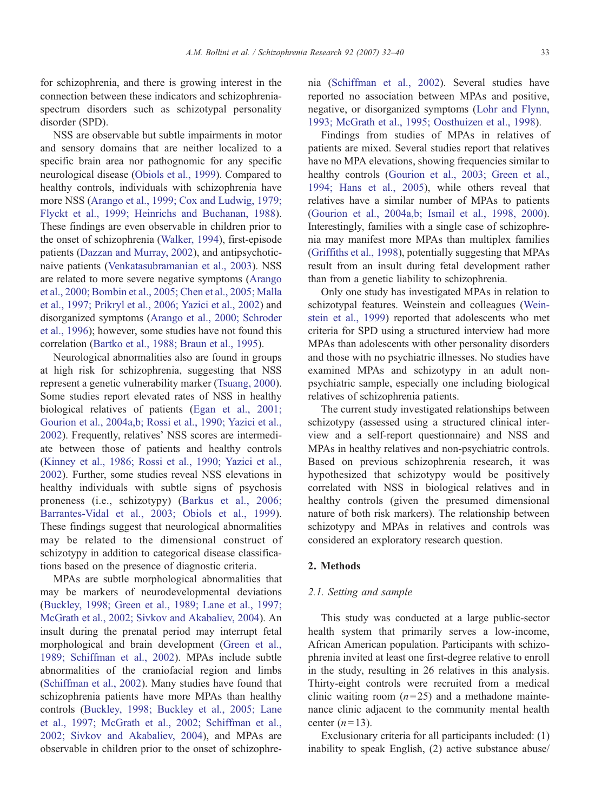for schizophrenia, and there is growing interest in the connection between these indicators and schizophreniaspectrum disorders such as schizotypal personality disorder (SPD).

NSS are observable but subtle impairments in motor and sensory domains that are neither localized to a specific brain area nor pathognomic for any specific neurological disease ([Obiols et al., 1999\)](#page-8-0). Compared to healthy controls, individuals with schizophrenia have more NSS [\(Arango et al., 1999; Cox and Ludwig, 1979;](#page-6-0) [Flyckt et al., 1999; Heinrichs and Buchanan, 1988](#page-6-0)). These findings are even observable in children prior to the onset of schizophrenia [\(Walker, 1994](#page-8-0)), first-episode patients [\(Dazzan and Murray, 2002\)](#page-7-0), and antipsychoticnaive patients ([Venkatasubramanian et al., 2003\)](#page-8-0). NSS are related to more severe negative symptoms [\(Arango](#page-6-0) [et al., 2000; Bombin et al., 2005; Chen et al., 2005; Malla](#page-6-0) [et al., 1997; Prikryl et al., 2006; Yazici et al., 2002\)](#page-6-0) and disorganized symptoms ([Arango et al., 2000; Schroder](#page-6-0) [et al., 1996](#page-6-0)); however, some studies have not found this correlation [\(Bartko et al., 1988; Braun et al., 1995](#page-6-0)).

Neurological abnormalities also are found in groups at high risk for schizophrenia, suggesting that NSS represent a genetic vulnerability marker ([Tsuang, 2000](#page-8-0)). Some studies report elevated rates of NSS in healthy biological relatives of patients ([Egan et al., 2001;](#page-7-0) [Gourion et al., 2004a,b; Rossi et al., 1990; Yazici et al.,](#page-7-0) [2002\)](#page-7-0). Frequently, relatives' NSS scores are intermediate between those of patients and healthy controls [\(Kinney et al., 1986; Rossi et al., 1990; Yazici et al.,](#page-7-0) [2002\)](#page-7-0). Further, some studies reveal NSS elevations in healthy individuals with subtle signs of psychosis proneness (i.e., schizotypy) ([Barkus et al., 2006;](#page-6-0) [Barrantes-Vidal et al., 2003; Obiols et al., 1999](#page-6-0)). These findings suggest that neurological abnormalities may be related to the dimensional construct of schizotypy in addition to categorical disease classifications based on the presence of diagnostic criteria.

MPAs are subtle morphological abnormalities that may be markers of neurodevelopmental deviations [\(Buckley, 1998; Green et al., 1989; Lane et al., 1997;](#page-7-0) [McGrath et al., 2002; Sivkov and Akabaliev, 2004\)](#page-7-0). An insult during the prenatal period may interrupt fetal morphological and brain development [\(Green et al.,](#page-7-0) [1989; Schiffman et al., 2002\)](#page-7-0). MPAs include subtle abnormalities of the craniofacial region and limbs [\(Schiffman et al., 2002](#page-8-0)). Many studies have found that schizophrenia patients have more MPAs than healthy controls ([Buckley, 1998; Buckley et al., 2005; Lane](#page-7-0) [et al., 1997; McGrath et al., 2002; Schiffman et al.,](#page-7-0) [2002; Sivkov and Akabaliev, 2004\)](#page-7-0), and MPAs are observable in children prior to the onset of schizophre-

nia ([Schiffman et al., 2002\)](#page-8-0). Several studies have reported no association between MPAs and positive, negative, or disorganized symptoms [\(Lohr and Flynn,](#page-7-0) [1993; McGrath et al., 1995; Oosthuizen et al., 1998](#page-7-0)).

Findings from studies of MPAs in relatives of patients are mixed. Several studies report that relatives have no MPA elevations, showing frequencies similar to healthy controls ([Gourion et al., 2003; Green et al.,](#page-7-0) [1994; Hans et al., 2005](#page-7-0)), while others reveal that relatives have a similar number of MPAs to patients [\(Gourion et al., 2004a,b; Ismail et al., 1998, 2000](#page-7-0)). Interestingly, families with a single case of schizophrenia may manifest more MPAs than multiplex families [\(Griffiths et al., 1998\)](#page-7-0), potentially suggesting that MPAs result from an insult during fetal development rather than from a genetic liability to schizophrenia.

Only one study has investigated MPAs in relation to schizotypal features. Weinstein and colleagues [\(Wein](#page-8-0)[stein et al., 1999\)](#page-8-0) reported that adolescents who met criteria for SPD using a structured interview had more MPAs than adolescents with other personality disorders and those with no psychiatric illnesses. No studies have examined MPAs and schizotypy in an adult nonpsychiatric sample, especially one including biological relatives of schizophrenia patients.

The current study investigated relationships between schizotypy (assessed using a structured clinical interview and a self-report questionnaire) and NSS and MPAs in healthy relatives and non-psychiatric controls. Based on previous schizophrenia research, it was hypothesized that schizotypy would be positively correlated with NSS in biological relatives and in healthy controls (given the presumed dimensional nature of both risk markers). The relationship between schizotypy and MPAs in relatives and controls was considered an exploratory research question.

### 2. Methods

## 2.1. Setting and sample

This study was conducted at a large public-sector health system that primarily serves a low-income, African American population. Participants with schizophrenia invited at least one first-degree relative to enroll in the study, resulting in 26 relatives in this analysis. Thirty-eight controls were recruited from a medical clinic waiting room  $(n=25)$  and a methadone maintenance clinic adjacent to the community mental health center  $(n=13)$ .

Exclusionary criteria for all participants included: (1) inability to speak English, (2) active substance abuse/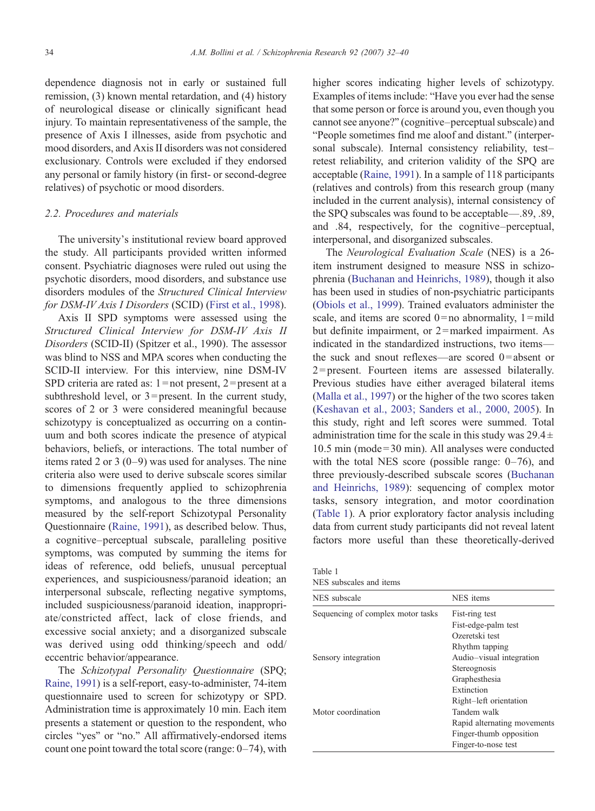dependence diagnosis not in early or sustained full remission, (3) known mental retardation, and (4) history of neurological disease or clinically significant head injury. To maintain representativeness of the sample, the presence of Axis I illnesses, aside from psychotic and mood disorders, and Axis II disorders was not considered exclusionary. Controls were excluded if they endorsed any personal or family history (in first- or second-degree relatives) of psychotic or mood disorders.

#### 2.2. Procedures and materials

The university's institutional review board approved the study. All participants provided written informed consent. Psychiatric diagnoses were ruled out using the psychotic disorders, mood disorders, and substance use disorders modules of the Structured Clinical Interview for DSM-IV Axis I Disorders (SCID) ([First et al., 1998\)](#page-7-0).

Axis II SPD symptoms were assessed using the Structured Clinical Interview for DSM-IV Axis II Disorders (SCID-II) (Spitzer et al., 1990). The assessor was blind to NSS and MPA scores when conducting the SCID-II interview. For this interview, nine DSM-IV SPD criteria are rated as:  $1 = not present$ ,  $2 = present$  at a subthreshold level, or  $3$ =present. In the current study, scores of 2 or 3 were considered meaningful because schizotypy is conceptualized as occurring on a continuum and both scores indicate the presence of atypical behaviors, beliefs, or interactions. The total number of items rated 2 or 3 (0–9) was used for analyses. The nine criteria also were used to derive subscale scores similar to dimensions frequently applied to schizophrenia symptoms, and analogous to the three dimensions measured by the self-report Schizotypal Personality Questionnaire ([Raine, 1991\)](#page-8-0), as described below. Thus, a cognitive–perceptual subscale, paralleling positive symptoms, was computed by summing the items for ideas of reference, odd beliefs, unusual perceptual experiences, and suspiciousness/paranoid ideation; an interpersonal subscale, reflecting negative symptoms, included suspiciousness/paranoid ideation, inappropriate/constricted affect, lack of close friends, and excessive social anxiety; and a disorganized subscale was derived using odd thinking/speech and odd/ eccentric behavior/appearance.

The Schizotypal Personality Questionnaire (SPQ; [Raine, 1991\)](#page-8-0) is a self-report, easy-to-administer, 74-item questionnaire used to screen for schizotypy or SPD. Administration time is approximately 10 min. Each item presents a statement or question to the respondent, who circles "yes" or "no." All affirmatively-endorsed items count one point toward the total score (range: 0–74), with

higher scores indicating higher levels of schizotypy. Examples of items include: "Have you ever had the sense that some person or force is around you, even though you cannot see anyone?" (cognitive–perceptual subscale) and "People sometimes find me aloof and distant." (interpersonal subscale). Internal consistency reliability, test– retest reliability, and criterion validity of the SPQ are acceptable ([Raine, 1991](#page-8-0)). In a sample of 118 participants (relatives and controls) from this research group (many included in the current analysis), internal consistency of the SPQ subscales was found to be acceptable—.89, .89, and .84, respectively, for the cognitive–perceptual, interpersonal, and disorganized subscales.

The Neurological Evaluation Scale (NES) is a 26 item instrument designed to measure NSS in schizophrenia ([Buchanan and Heinrichs, 1989\)](#page-7-0), though it also has been used in studies of non-psychiatric participants [\(Obiols et al., 1999](#page-8-0)). Trained evaluators administer the scale, and items are scored  $0 = no$  abnormality,  $1 = mild$ but definite impairment, or 2=marked impairment. As indicated in the standardized instructions, two items the suck and snout reflexes—are scored  $0 =$ absent or 2=present. Fourteen items are assessed bilaterally. Previous studies have either averaged bilateral items [\(Malla et al., 1997\)](#page-7-0) or the higher of the two scores taken [\(Keshavan et al., 2003; Sanders et al., 2000, 2005](#page-7-0)). In this study, right and left scores were summed. Total administration time for the scale in this study was  $29.4 \pm$ 10.5 min (mode = 30 min). All analyses were conducted with the total NES score (possible range: 0–76), and three previously-described subscale scores ([Buchanan](#page-7-0) [and Heinrichs, 1989](#page-7-0)): sequencing of complex motor tasks, sensory integration, and motor coordination (Table 1). A prior exploratory factor analysis including data from current study participants did not reveal latent factors more useful than these theoretically-derived

Table 1 NES subscales and items

| NES subscale                      | NES items                   |
|-----------------------------------|-----------------------------|
| Sequencing of complex motor tasks | Fist-ring test              |
|                                   | Fist-edge-palm test         |
|                                   | Ozeretski test              |
|                                   | Rhythm tapping              |
| Sensory integration               | Audio-visual integration    |
|                                   | Stereognosis                |
|                                   | Graphesthesia               |
|                                   | Extinction                  |
|                                   | Right-left orientation      |
| Motor coordination                | Tandem walk                 |
|                                   | Rapid alternating movements |
|                                   | Finger-thumb opposition     |
|                                   | Finger-to-nose test         |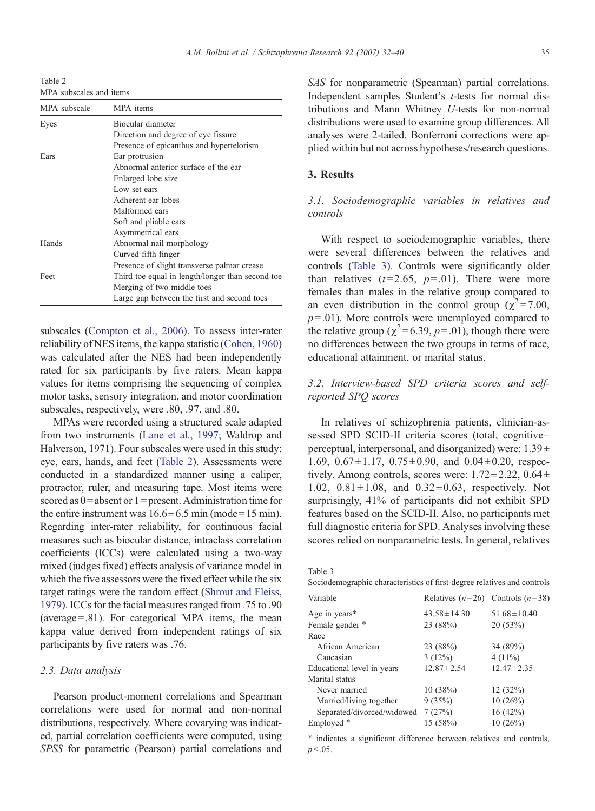Table 2 MPA subscales and items

| MPA subscale | MPA items                                        |
|--------------|--------------------------------------------------|
| Eyes         | Biocular diameter                                |
|              | Direction and degree of eye fissure              |
|              | Presence of epicanthus and hypertelorism         |
| Ears         | Ear protrusion                                   |
|              | Abnormal anterior surface of the ear             |
|              | Enlarged lobe size                               |
|              | Low set ears                                     |
|              | Adherent ear lobes                               |
|              | Malformed ears                                   |
|              | Soft and pliable ears                            |
|              | Asymmetrical ears                                |
| Hands        | Abnormal nail morphology                         |
|              | Curved fifth finger                              |
|              | Presence of slight transverse palmar crease      |
| Feet         | Third toe equal in length/longer than second toe |
|              | Merging of two middle toes                       |
|              | Large gap between the first and second toes      |

subscales ([Compton et al., 2006\)](#page-7-0). To assess inter-rater reliability of NES items, the kappa statistic [\(Cohen, 1960\)](#page-7-0) was calculated after the NES had been independently rated for six participants by five raters. Mean kappa values for items comprising the sequencing of complex motor tasks, sensory integration, and motor coordination subscales, respectively, were .80, .97, and .80.

MPAs were recorded using a structured scale adapted from two instruments [\(Lane et al., 1997;](#page-7-0) Waldrop and Halverson, 1971). Four subscales were used in this study: eye, ears, hands, and feet (Table 2). Assessments were conducted in a standardized manner using a caliper, protractor, ruler, and measuring tape. Most items were scored as  $0 =$ absent or  $1 =$ present. Administration time for the entire instrument was  $16.6 \pm 6.5$  min (mode= 15 min). Regarding inter-rater reliability, for continuous facial measures such as biocular distance, intraclass correlation coefficients (ICCs) were calculated using a two-way mixed (judges fixed) effects analysis of variance model in which the five assessors were the fixed effect while the six target ratings were the random effect [\(Shrout and Fleiss,](#page-8-0) [1979](#page-8-0)). ICCs for the facial measures ranged from .75 to .90 (average=.81). For categorical MPA items, the mean kappa value derived from independent ratings of six participants by five raters was .76.

## 2.3. Data analysis

Pearson product-moment correlations and Spearman correlations were used for normal and non-normal distributions, respectively. Where covarying was indicated, partial correlation coefficients were computed, using SPSS for parametric (Pearson) partial correlations and

SAS for nonparametric (Spearman) partial correlations. Independent samples Student's t-tests for normal distributions and Mann Whitney U-tests for non-normal distributions were used to examine group differences. All analyses were 2-tailed. Bonferroni corrections were applied within but not across hypotheses/research questions.

## 3. Results

## 3.1. Sociodemographic variables in relatives and controls

With respect to sociodemographic variables, there were several differences between the relatives and controls (Table 3). Controls were significantly older than relatives  $(t=2.65, p=.01)$ . There were more females than males in the relative group compared to an even distribution in the control group ( $\chi^2$ =7.00,  $p=0.01$ ). More controls were unemployed compared to the relative group ( $\chi^2$ =6.39, p=.01), though there were no differences between the two groups in terms of race, educational attainment, or marital status.

## 3.2. Interview-based SPD criteria scores and selfreported SPQ scores

In relatives of schizophrenia patients, clinician-assessed SPD SCID-II criteria scores (total, cognitive– perceptual, interpersonal, and disorganized) were:  $1.39 \pm$ 1.69,  $0.67 \pm 1.17$ ,  $0.75 \pm 0.90$ , and  $0.04 \pm 0.20$ , respectively. Among controls, scores were:  $1.72 \pm 2.22$ ,  $0.64 \pm$ 1.02,  $0.81 \pm 1.08$ , and  $0.32 \pm 0.63$ , respectively. Not surprisingly, 41% of participants did not exhibit SPD features based on the SCID-II. Also, no participants met full diagnostic criteria for SPD. Analyses involving these scores relied on nonparametric tests. In general, relatives

| le 3 | $\sim$ |  |  |  |  |
|------|--------|--|--|--|--|
|      |        |  |  |  |  |

Tab

|--|

| Variable                   | Relatives $(n=26)$ Controls $(n=38)$ |                   |
|----------------------------|--------------------------------------|-------------------|
| Age in years*              | $43.58 \pm 14.30$                    | $51.68 \pm 10.40$ |
| Female gender *            | 23 (88%)                             | 20(53%)           |
| Race                       |                                      |                   |
| African American           | 23 (88%)                             | 34 (89%)          |
| Caucasian                  | 3(12%)                               | $4(11\%)$         |
| Educational level in years | $12.87 \pm 2.54$                     | $12.47 \pm 2.35$  |
| Marital status             |                                      |                   |
| Never married              | 10(38%)                              | 12(32%)           |
| Married/living together    | 9(35%)                               | 10(26%)           |
| Separated/divorced/widowed | 7(27%)                               | 16(42%)           |
| Employed *                 | 15 (58%)                             | 10(26%)           |

⁎ indicates a significant difference between relatives and controls,  $p < 0.05$ .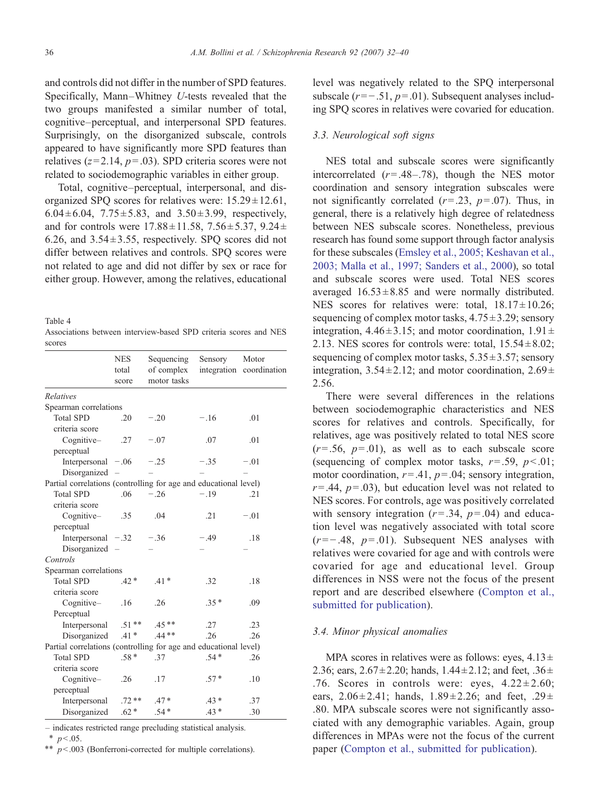<span id="page-4-0"></span>and controls did not differ in the number of SPD features. Specifically, Mann–Whitney U-tests revealed that the two groups manifested a similar number of total, cognitive–perceptual, and interpersonal SPD features. Surprisingly, on the disorganized subscale, controls appeared to have significantly more SPD features than relatives ( $z = 2.14$ ,  $p = .03$ ). SPD criteria scores were not related to sociodemographic variables in either group.

Total, cognitive–perceptual, interpersonal, and disorganized SPQ scores for relatives were:  $15.29 \pm 12.61$ , 6.04  $\pm$  6.04, 7.75  $\pm$  5.83, and 3.50  $\pm$  3.99, respectively, and for controls were  $17.88 \pm 11.58$ ,  $7.56 \pm 5.37$ ,  $9.24 \pm 1.58$ 6.26, and  $3.54 \pm 3.55$ , respectively. SPO scores did not differ between relatives and controls. SPQ scores were not related to age and did not differ by sex or race for either group. However, among the relatives, educational

Table 4

Associations between interview-based SPD criteria scores and NES scores

|                                                                  | <b>NES</b><br>total<br>score | Sequencing<br>of complex<br>motor tasks | Sensory | Motor<br>integration coordination |
|------------------------------------------------------------------|------------------------------|-----------------------------------------|---------|-----------------------------------|
| <b>Relatives</b>                                                 |                              |                                         |         |                                   |
| Spearman correlations                                            |                              |                                         |         |                                   |
| <b>Total SPD</b>                                                 | .20                          | $-.20$                                  | $-.16$  | .01                               |
| criteria score                                                   |                              |                                         |         |                                   |
| $Copyrightve-$                                                   | .27                          | $-.07$                                  | .07     | .01                               |
| perceptual                                                       |                              |                                         |         |                                   |
| Interpersonal $-.06$                                             |                              | $-.25$                                  | $-.35$  | $-.01$                            |
| Disorganized -                                                   |                              |                                         |         |                                   |
| Partial correlations (controlling for age and educational level) |                              |                                         |         |                                   |
| <b>Total SPD</b>                                                 | .06                          | $-.26$                                  | $-.19$  | .21                               |
| criteria score                                                   |                              |                                         |         |                                   |
| $C$ ognitive $-$                                                 | .35                          | .04                                     | .21     | $-.01$                            |
| perceptual                                                       |                              |                                         |         |                                   |
| Interpersonal $-.32$                                             |                              | $-.36$                                  | $-.49$  | .18                               |
| Disorganized -                                                   |                              |                                         |         |                                   |
| Controls                                                         |                              |                                         |         |                                   |
| Spearman correlations                                            |                              |                                         |         |                                   |
| <b>Total SPD</b>                                                 | $.42*$                       | $.41*$                                  | .32     | .18                               |
| criteria score                                                   |                              |                                         |         |                                   |
| $C$ ognitive $-$                                                 | .16                          | .26                                     | $.35*$  | .09                               |
| Perceptual                                                       |                              |                                         |         |                                   |
| Interpersonal                                                    | $.51***$                     | $.45**$                                 | .27     | .23                               |
| Disorganized                                                     | $.41*$                       | $.44**$                                 | .26     | .26                               |
| Partial correlations (controlling for age and educational level) |                              |                                         |         |                                   |
| <b>Total SPD</b>                                                 | $.58*$                       | .37                                     | $.54*$  | .26                               |
| criteria score                                                   |                              |                                         |         |                                   |
| Cognitive-                                                       | .26                          | .17                                     | $.57*$  | .10                               |
| perceptual                                                       |                              |                                         |         |                                   |
| Interpersonal                                                    | $.72**$                      | $.47*$                                  | $.43*$  | .37                               |
| Disorganized                                                     | $.62*$                       | $.54*$                                  | $.43*$  | .30                               |

– indicates restricted range precluding statistical analysis.

 $p < 0.05$ .

\*\*  $p<0.03$  (Bonferroni-corrected for multiple correlations).

level was negatively related to the SPQ interpersonal subscale  $(r=-.51, p=.01)$ . Subsequent analyses including SPQ scores in relatives were covaried for education.

## 3.3. Neurological soft signs

NES total and subscale scores were significantly intercorrelated  $(r=.48-.78)$ , though the NES motor coordination and sensory integration subscales were not significantly correlated  $(r=.23, p=.07)$ . Thus, in general, there is a relatively high degree of relatedness between NES subscale scores. Nonetheless, previous research has found some support through factor analysis for these subscales ([Emsley et al., 2005; Keshavan et al.,](#page-7-0) [2003; Malla et al., 1997; Sanders et al., 2000](#page-7-0)), so total and subscale scores were used. Total NES scores averaged  $16.53 \pm 8.85$  and were normally distributed. NES scores for relatives were: total,  $18.17 \pm 10.26$ ; sequencing of complex motor tasks,  $4.75 \pm 3.29$ ; sensory integration,  $4.46 \pm 3.15$ ; and motor coordination,  $1.91 \pm$ 2.13. NES scores for controls were: total,  $15.54 \pm 8.02$ ; sequencing of complex motor tasks,  $5.35 \pm 3.57$ ; sensory integration,  $3.54 \pm 2.12$ ; and motor coordination,  $2.69 \pm$ 2.56.

There were several differences in the relations between sociodemographic characteristics and NES scores for relatives and controls. Specifically, for relatives, age was positively related to total NES score  $(r=.56, p=.01)$ , as well as to each subscale score (sequencing of complex motor tasks,  $r = .59$ ,  $p < .01$ ; motor coordination,  $r = .41$ ,  $p = .04$ ; sensory integration,  $r = .44$ ,  $p = .03$ ), but education level was not related to NES scores. For controls, age was positively correlated with sensory integration ( $r = .34$ ,  $p = .04$ ) and education level was negatively associated with total score  $(r=-.48, p=.01)$ . Subsequent NES analyses with relatives were covaried for age and with controls were covaried for age and educational level. Group differences in NSS were not the focus of the present report and are described elsewhere [\(Compton et al.,](#page-7-0) [submitted for publication\)](#page-7-0).

#### 3.4. Minor physical anomalies

MPA scores in relatives were as follows: eyes,  $4.13 \pm$ 2.36; ears,  $2.67 \pm 2.20$ ; hands,  $1.44 \pm 2.12$ ; and feet,  $.36 \pm$ .76. Scores in controls were: eyes,  $4.22 \pm 2.60$ ; ears,  $2.06 \pm 2.41$ ; hands,  $1.89 \pm 2.26$ ; and feet,  $.29 \pm$ .80. MPA subscale scores were not significantly associated with any demographic variables. Again, group differences in MPAs were not the focus of the current paper [\(Compton et al., submitted for publication\)](#page-7-0).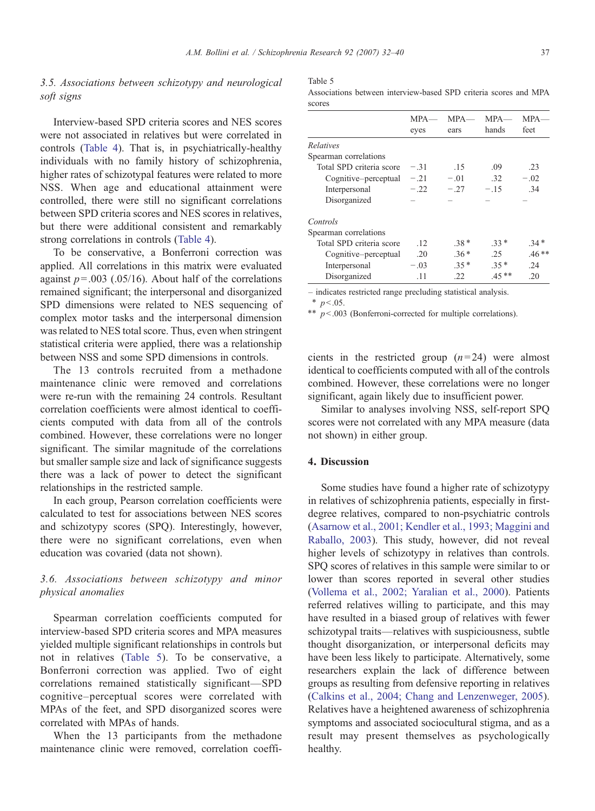# 3.5. Associations between schizotypy and neurological soft signs

Interview-based SPD criteria scores and NES scores were not associated in relatives but were correlated in controls ([Table 4](#page-4-0)). That is, in psychiatrically-healthy individuals with no family history of schizophrenia, higher rates of schizotypal features were related to more NSS. When age and educational attainment were controlled, there were still no significant correlations between SPD criteria scores and NES scores in relatives, but there were additional consistent and remarkably strong correlations in controls ([Table 4\)](#page-4-0).

To be conservative, a Bonferroni correction was applied. All correlations in this matrix were evaluated against  $p = .003$  (.05/16). About half of the correlations remained significant; the interpersonal and disorganized SPD dimensions were related to NES sequencing of complex motor tasks and the interpersonal dimension was related to NES total score. Thus, even when stringent statistical criteria were applied, there was a relationship between NSS and some SPD dimensions in controls.

The 13 controls recruited from a methadone maintenance clinic were removed and correlations were re-run with the remaining 24 controls. Resultant correlation coefficients were almost identical to coefficients computed with data from all of the controls combined. However, these correlations were no longer significant. The similar magnitude of the correlations but smaller sample size and lack of significance suggests there was a lack of power to detect the significant relationships in the restricted sample.

In each group, Pearson correlation coefficients were calculated to test for associations between NES scores and schizotypy scores (SPQ). Interestingly, however, there were no significant correlations, even when education was covaried (data not shown).

# 3.6. Associations between schizotypy and minor physical anomalies

Spearman correlation coefficients computed for interview-based SPD criteria scores and MPA measures yielded multiple significant relationships in controls but not in relatives (Table 5). To be conservative, a Bonferroni correction was applied. Two of eight correlations remained statistically significant—SPD cognitive–perceptual scores were correlated with MPAs of the feet, and SPD disorganized scores were correlated with MPAs of hands.

When the 13 participants from the methadone maintenance clinic were removed, correlation coeffiTable 5

|        | Associations between interview-based SPD criteria scores and MPA |  |  |  |
|--------|------------------------------------------------------------------|--|--|--|
| scores |                                                                  |  |  |  |

|                          | MPA-<br>eyes | $MPA$ —<br>ears | $MPA$ —<br>hands | MPA-<br>feet |
|--------------------------|--------------|-----------------|------------------|--------------|
| Relatives                |              |                 |                  |              |
| Spearman correlations    |              |                 |                  |              |
| Total SPD criteria score | $-.31$       | .15             | .09              | .23          |
| Cognitive-perceptual     | $-.21$       | $-.01$          | .32              | $-.02$       |
| Interpersonal            | $-.22$       | $-.27$          | $-15$            | .34          |
| Disorganized             |              |                 |                  |              |
| Controls                 |              |                 |                  |              |
| Spearman correlations    |              |                 |                  |              |
| Total SPD criteria score | .12          | $.38*$          | $.33*$           | $.34*$       |
| Cognitive-perceptual     | .20          | $.36*$          | 25               | $.46**$      |
| Interpersonal            | $-.03$       | $.35*$          | $.35*$           | 24           |
| Disorganized             | .11          | .22             | $.45**$          | .20          |

– indicates restricted range precluding statistical analysis.

\*  $p < .05$ .

\*\*  $p$ <.003 (Bonferroni-corrected for multiple correlations).

cients in the restricted group  $(n=24)$  were almost identical to coefficients computed with all of the controls combined. However, these correlations were no longer significant, again likely due to insufficient power.

Similar to analyses involving NSS, self-report SPQ scores were not correlated with any MPA measure (data not shown) in either group.

## 4. Discussion

Some studies have found a higher rate of schizotypy in relatives of schizophrenia patients, especially in firstdegree relatives, compared to non-psychiatric controls [\(Asarnow et al., 2001; Kendler et al., 1993; Maggini and](#page-6-0) [Raballo, 2003](#page-6-0)). This study, however, did not reveal higher levels of schizotypy in relatives than controls. SPQ scores of relatives in this sample were similar to or lower than scores reported in several other studies [\(Vollema et al., 2002; Yaralian et al., 2000\)](#page-8-0). Patients referred relatives willing to participate, and this may have resulted in a biased group of relatives with fewer schizotypal traits—relatives with suspiciousness, subtle thought disorganization, or interpersonal deficits may have been less likely to participate. Alternatively, some researchers explain the lack of difference between groups as resulting from defensive reporting in relatives [\(Calkins et al., 2004; Chang and Lenzenweger, 2005](#page-7-0)). Relatives have a heightened awareness of schizophrenia symptoms and associated sociocultural stigma, and as a result may present themselves as psychologically healthy.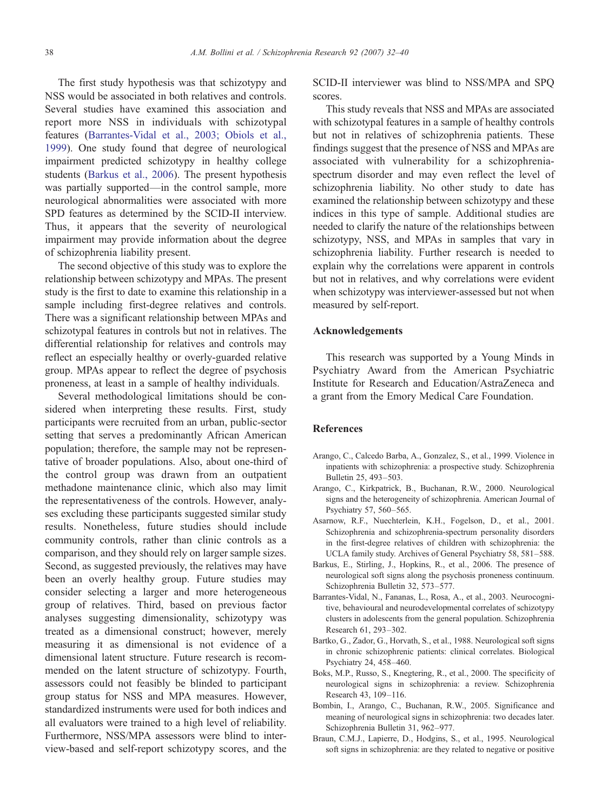<span id="page-6-0"></span>The first study hypothesis was that schizotypy and NSS would be associated in both relatives and controls. Several studies have examined this association and report more NSS in individuals with schizotypal features (Barrantes-Vidal et al., 2003; Obiols et al., 1999). One study found that degree of neurological impairment predicted schizotypy in healthy college students (Barkus et al., 2006). The present hypothesis was partially supported—in the control sample, more neurological abnormalities were associated with more SPD features as determined by the SCID-II interview. Thus, it appears that the severity of neurological impairment may provide information about the degree of schizophrenia liability present.

The second objective of this study was to explore the relationship between schizotypy and MPAs. The present study is the first to date to examine this relationship in a sample including first-degree relatives and controls. There was a significant relationship between MPAs and schizotypal features in controls but not in relatives. The differential relationship for relatives and controls may reflect an especially healthy or overly-guarded relative group. MPAs appear to reflect the degree of psychosis proneness, at least in a sample of healthy individuals.

Several methodological limitations should be considered when interpreting these results. First, study participants were recruited from an urban, public-sector setting that serves a predominantly African American population; therefore, the sample may not be representative of broader populations. Also, about one-third of the control group was drawn from an outpatient methadone maintenance clinic, which also may limit the representativeness of the controls. However, analyses excluding these participants suggested similar study results. Nonetheless, future studies should include community controls, rather than clinic controls as a comparison, and they should rely on larger sample sizes. Second, as suggested previously, the relatives may have been an overly healthy group. Future studies may consider selecting a larger and more heterogeneous group of relatives. Third, based on previous factor analyses suggesting dimensionality, schizotypy was treated as a dimensional construct; however, merely measuring it as dimensional is not evidence of a dimensional latent structure. Future research is recommended on the latent structure of schizotypy. Fourth, assessors could not feasibly be blinded to participant group status for NSS and MPA measures. However, standardized instruments were used for both indices and all evaluators were trained to a high level of reliability. Furthermore, NSS/MPA assessors were blind to interview-based and self-report schizotypy scores, and the SCID-II interviewer was blind to NSS/MPA and SPQ scores.

This study reveals that NSS and MPAs are associated with schizotypal features in a sample of healthy controls but not in relatives of schizophrenia patients. These findings suggest that the presence of NSS and MPAs are associated with vulnerability for a schizophreniaspectrum disorder and may even reflect the level of schizophrenia liability. No other study to date has examined the relationship between schizotypy and these indices in this type of sample. Additional studies are needed to clarify the nature of the relationships between schizotypy, NSS, and MPAs in samples that vary in schizophrenia liability. Further research is needed to explain why the correlations were apparent in controls but not in relatives, and why correlations were evident when schizotypy was interviewer-assessed but not when measured by self-report.

## Acknowledgements

This research was supported by a Young Minds in Psychiatry Award from the American Psychiatric Institute for Research and Education/AstraZeneca and a grant from the Emory Medical Care Foundation.

## **References**

- Arango, C., Calcedo Barba, A., Gonzalez, S., et al., 1999. Violence in inpatients with schizophrenia: a prospective study. Schizophrenia Bulletin 25, 493–503.
- Arango, C., Kirkpatrick, B., Buchanan, R.W., 2000. Neurological signs and the heterogeneity of schizophrenia. American Journal of Psychiatry 57, 560–565.
- Asarnow, R.F., Nuechterlein, K.H., Fogelson, D., et al., 2001. Schizophrenia and schizophrenia-spectrum personality disorders in the first-degree relatives of children with schizophrenia: the UCLA family study. Archives of General Psychiatry 58, 581–588.
- Barkus, E., Stirling, J., Hopkins, R., et al., 2006. The presence of neurological soft signs along the psychosis proneness continuum. Schizophrenia Bulletin 32, 573–577.
- Barrantes-Vidal, N., Fananas, L., Rosa, A., et al., 2003. Neurocognitive, behavioural and neurodevelopmental correlates of schizotypy clusters in adolescents from the general population. Schizophrenia Research 61, 293–302.
- Bartko, G., Zador, G., Horvath, S., et al., 1988. Neurological soft signs in chronic schizophrenic patients: clinical correlates. Biological Psychiatry 24, 458–460.
- Boks, M.P., Russo, S., Knegtering, R., et al., 2000. The specificity of neurological signs in schizophrenia: a review. Schizophrenia Research 43, 109–116.
- Bombin, I., Arango, C., Buchanan, R.W., 2005. Significance and meaning of neurological signs in schizophrenia: two decades later. Schizophrenia Bulletin 31, 962–977.
- Braun, C.M.J., Lapierre, D., Hodgins, S., et al., 1995. Neurological soft signs in schizophrenia: are they related to negative or positive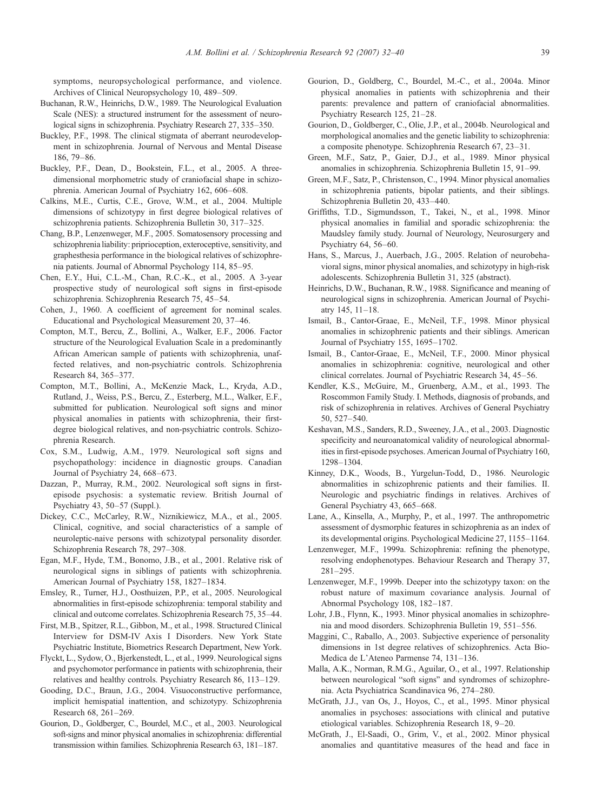<span id="page-7-0"></span>symptoms, neuropsychological performance, and violence. Archives of Clinical Neuropsychology 10, 489–509.

- Buchanan, R.W., Heinrichs, D.W., 1989. The Neurological Evaluation Scale (NES): a structured instrument for the assessment of neurological signs in schizophrenia. Psychiatry Research 27, 335–350.
- Buckley, P.F., 1998. The clinical stigmata of aberrant neurodevelopment in schizophrenia. Journal of Nervous and Mental Disease 186, 79–86.
- Buckley, P.F., Dean, D., Bookstein, F.L., et al., 2005. A threedimensional morphometric study of craniofacial shape in schizophrenia. American Journal of Psychiatry 162, 606–608.
- Calkins, M.E., Curtis, C.E., Grove, W.M., et al., 2004. Multiple dimensions of schizotypy in first degree biological relatives of schizophrenia patients. Schizophrenia Bulletin 30, 317–325.
- Chang, B.P., Lenzenweger, M.F., 2005. Somatosensory processing and schizophrenia liability: priprioception, exteroceptive, sensitivity, and graphesthesia performance in the biological relatives of schizophrenia patients. Journal of Abnormal Psychology 114, 85–95.
- Chen, E.Y., Hui, C.L.-M., Chan, R.C.-K., et al., 2005. A 3-year prospective study of neurological soft signs in first-episode schizophrenia. Schizophrenia Research 75, 45–54.
- Cohen, J., 1960. A coefficient of agreement for nominal scales. Educational and Psychological Measurement 20, 37–46.
- Compton, M.T., Bercu, Z., Bollini, A., Walker, E.F., 2006. Factor structure of the Neurological Evaluation Scale in a predominantly African American sample of patients with schizophrenia, unaffected relatives, and non-psychiatric controls. Schizophrenia Research 84, 365–377.
- Compton, M.T., Bollini, A., McKenzie Mack, L., Kryda, A.D., Rutland, J., Weiss, P.S., Bercu, Z., Esterberg, M.L., Walker, E.F., submitted for publication. Neurological soft signs and minor physical anomalies in patients with schizophrenia, their firstdegree biological relatives, and non-psychiatric controls. Schizophrenia Research.
- Cox, S.M., Ludwig, A.M., 1979. Neurological soft signs and psychopathology: incidence in diagnostic groups. Canadian Journal of Psychiatry 24, 668–673.
- Dazzan, P., Murray, R.M., 2002. Neurological soft signs in firstepisode psychosis: a systematic review. British Journal of Psychiatry 43, 50–57 (Suppl.).
- Dickey, C.C., McCarley, R.W., Niznikiewicz, M.A., et al., 2005. Clinical, cognitive, and social characteristics of a sample of neuroleptic-naive persons with schizotypal personality disorder. Schizophrenia Research 78, 297–308.
- Egan, M.F., Hyde, T.M., Bonomo, J.B., et al., 2001. Relative risk of neurological signs in siblings of patients with schizophrenia. American Journal of Psychiatry 158, 1827–1834.
- Emsley, R., Turner, H.J., Oosthuizen, P.P., et al., 2005. Neurological abnormalities in first-episode schizophrenia: temporal stability and clinical and outcome correlates. Schizophrenia Research 75, 35–44.
- First, M.B., Spitzer, R.L., Gibbon, M., et al., 1998. Structured Clinical Interview for DSM-IV Axis I Disorders. New York State Psychiatric Institute, Biometrics Research Department, New York.
- Flyckt, L., Sydow, O., Bjerkenstedt, L., et al., 1999. Neurological signs and psychomotor performance in patients with schizophrenia, their relatives and healthy controls. Psychiatry Research 86, 113–129.
- Gooding, D.C., Braun, J.G., 2004. Visuoconstructive performance, implicit hemispatial inattention, and schizotypy. Schizophrenia Research 68, 261–269.
- Gourion, D., Goldberger, C., Bourdel, M.C., et al., 2003. Neurological soft-signs and minor physical anomalies in schizophrenia: differential transmission within families. Schizophrenia Research 63, 181–187.
- Gourion, D., Goldberg, C., Bourdel, M.-C., et al., 2004a. Minor physical anomalies in patients with schizophrenia and their parents: prevalence and pattern of craniofacial abnormalities. Psychiatry Research 125, 21–28.
- Gourion, D., Goldberger, C., Olie, J.P., et al., 2004b. Neurological and morphological anomalies and the genetic liability to schizophrenia: a composite phenotype. Schizophrenia Research 67, 23–31.
- Green, M.F., Satz, P., Gaier, D.J., et al., 1989. Minor physical anomalies in schizophrenia. Schizophrenia Bulletin 15, 91–99.
- Green, M.F., Satz, P., Christenson, C., 1994. Minor physical anomalies in schizophrenia patients, bipolar patients, and their siblings. Schizophrenia Bulletin 20, 433–440.
- Griffiths, T.D., Sigmundsson, T., Takei, N., et al., 1998. Minor physical anomalies in familial and sporadic schizophrenia: the Maudsley family study. Journal of Neurology, Neurosurgery and Psychiatry 64, 56–60.
- Hans, S., Marcus, J., Auerbach, J.G., 2005. Relation of neurobehavioral signs, minor physical anomalies, and schizotypy in high-risk adolescents. Schizophrenia Bulletin 31, 325 (abstract).
- Heinrichs, D.W., Buchanan, R.W., 1988. Significance and meaning of neurological signs in schizophrenia. American Journal of Psychiatry 145, 11–18.
- Ismail, B., Cantor-Graae, E., McNeil, T.F., 1998. Minor physical anomalies in schizophrenic patients and their siblings. American Journal of Psychiatry 155, 1695–1702.
- Ismail, B., Cantor-Graae, E., McNeil, T.F., 2000. Minor physical anomalies in schizophrenia: cognitive, neurological and other clinical correlates. Journal of Psychiatric Research 34, 45–56.
- Kendler, K.S., McGuire, M., Gruenberg, A.M., et al., 1993. The Roscommon Family Study. I. Methods, diagnosis of probands, and risk of schizophrenia in relatives. Archives of General Psychiatry 50, 527–540.
- Keshavan, M.S., Sanders, R.D., Sweeney, J.A., et al., 2003. Diagnostic specificity and neuroanatomical validity of neurological abnormalities in first-episode psychoses. American Journal of Psychiatry 160, 1298–1304.
- Kinney, D.K., Woods, B., Yurgelun-Todd, D., 1986. Neurologic abnormalities in schizophrenic patients and their families. II. Neurologic and psychiatric findings in relatives. Archives of General Psychiatry 43, 665–668.
- Lane, A., Kinsella, A., Murphy, P., et al., 1997. The anthropometric assessment of dysmorphic features in schizophrenia as an index of its developmental origins. Psychological Medicine 27, 1155–1164.
- Lenzenweger, M.F., 1999a. Schizophrenia: refining the phenotype, resolving endophenotypes. Behaviour Research and Therapy 37, 281–295.
- Lenzenweger, M.F., 1999b. Deeper into the schizotypy taxon: on the robust nature of maximum covariance analysis. Journal of Abnormal Psychology 108, 182–187.
- Lohr, J.B., Flynn, K., 1993. Minor physical anomalies in schizophrenia and mood disorders. Schizophrenia Bulletin 19, 551–556.
- Maggini, C., Raballo, A., 2003. Subjective experience of personality dimensions in 1st degree relatives of schizophrenics. Acta Bio-Medica de L'Ateneo Parmense 74, 131–136.
- Malla, A.K., Norman, R.M.G., Aguilar, O., et al., 1997. Relationship between neurological "soft signs" and syndromes of schizophrenia. Acta Psychiatrica Scandinavica 96, 274–280.
- McGrath, J.J., van Os, J., Hoyos, C., et al., 1995. Minor physical anomalies in psychoses: associations with clinical and putative etiological variables. Schizophrenia Research 18, 9–20.
- McGrath, J., El-Saadi, O., Grim, V., et al., 2002. Minor physical anomalies and quantitative measures of the head and face in